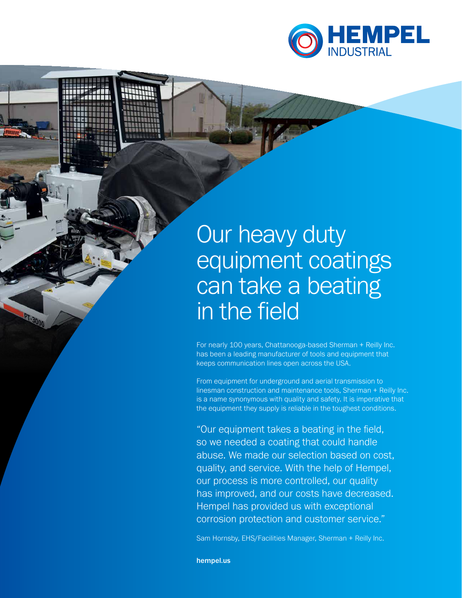

# Our heavy duty equipment coatings can take a beating in the field

For nearly 100 years, Chattanooga-based Sherman + Reilly Inc. has been a leading manufacturer of tools and equipment that keeps communication lines open across the USA.

From equipment for underground and aerial transmission to linesman construction and maintenance tools, Sherman + Reilly Inc. is a name synonymous with quality and safety. It is imperative that the equipment they supply is reliable in the toughest conditions.

"Our equipment takes a beating in the field, so we needed a coating that could handle abuse. We made our selection based on cost, quality, and service. With the help of Hempel, our process is more controlled, our quality has improved, and our costs have decreased. Hempel has provided us with exceptional corrosion protection and customer service."

Sam Hornsby, EHS/Facilities Manager, Sherman + Reilly Inc.

hempel.us

**PT-30**